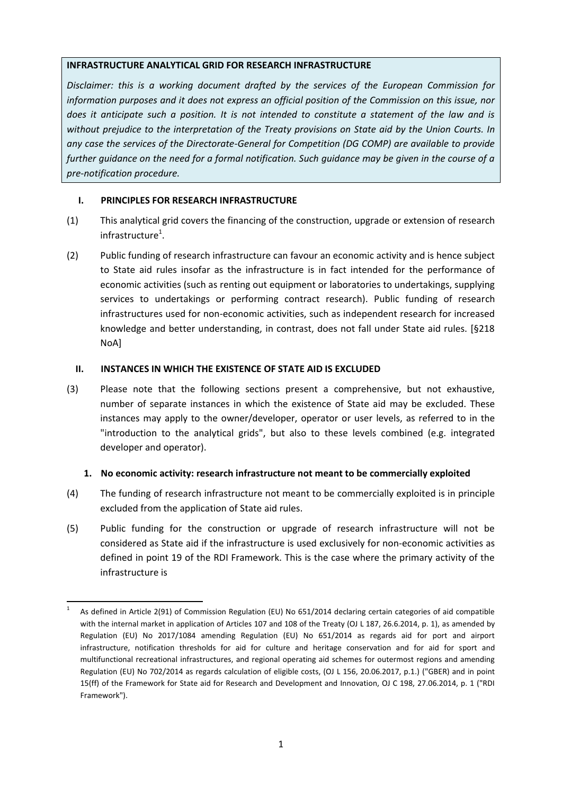#### **INFRASTRUCTURE ANALYTICAL GRID FOR RESEARCH INFRASTRUCTURE**

*Disclaimer: this is a working document drafted by the services of the European Commission for information purposes and it does not express an official position of the Commission on this issue, nor does it anticipate such a position. It is not intended to constitute a statement of the law and is without prejudice to the interpretation of the Treaty provisions on State aid by the Union Courts. In any case the services of the Directorate-General for Competition (DG COMP) are available to provide further guidance on the need for a formal notification. Such guidance may be given in the course of a pre-notification procedure.*

## **I. PRINCIPLES FOR RESEARCH INFRASTRUCTURE**

- (1) This analytical grid covers the financing of the construction, upgrade or extension of research  $in$ frastructure $^1$ .
- (2) Public funding of research infrastructure can favour an economic activity and is hence subject to State aid rules insofar as the infrastructure is in fact intended for the performance of economic activities (such as renting out equipment or laboratories to undertakings, supplying services to undertakings or performing contract research). Public funding of research infrastructures used for non-economic activities, such as independent research for increased knowledge and better understanding, in contrast, does not fall under State aid rules. [§218 NoA]

## **II. INSTANCES IN WHICH THE EXISTENCE OF STATE AID IS EXCLUDED**

(3) Please note that the following sections present a comprehensive, but not exhaustive, number of separate instances in which the existence of State aid may be excluded. These instances may apply to the owner/developer, operator or user levels, as referred to in the "introduction to the analytical grids", but also to these levels combined (e.g. integrated developer and operator).

## **1. No economic activity: research infrastructure not meant to be commercially exploited**

- (4) The funding of research infrastructure not meant to be commercially exploited is in principle excluded from the application of State aid rules.
- (5) Public funding for the construction or upgrade of research infrastructure will not be considered as State aid if the infrastructure is used exclusively for non-economic activities as defined in point 19 of the RDI Framework. This is the case where the primary activity of the infrastructure is

<sup>1</sup> 1 As defined in Article 2(91) of Commission Regulation (EU) No 651/2014 declaring certain categories of aid compatible with the internal market in application of Articles 107 and 108 of the Treaty (OJ L 187, 26.6.2014, p. 1), as amended by Regulation (EU) No 2017/1084 amending Regulation (EU) No 651/2014 as regards aid for port and airport infrastructure, notification thresholds for aid for culture and heritage conservation and for aid for sport and multifunctional recreational infrastructures, and regional operating aid schemes for outermost regions and amending Regulation (EU) No 702/2014 as regards calculation of eligible costs, (OJ L 156, 20.06.2017, p.1.) ("GBER) and in point 15(ff) of the Framework for State aid for Research and Development and Innovation, OJ C 198, 27.06.2014, p. 1 ("RDI Framework").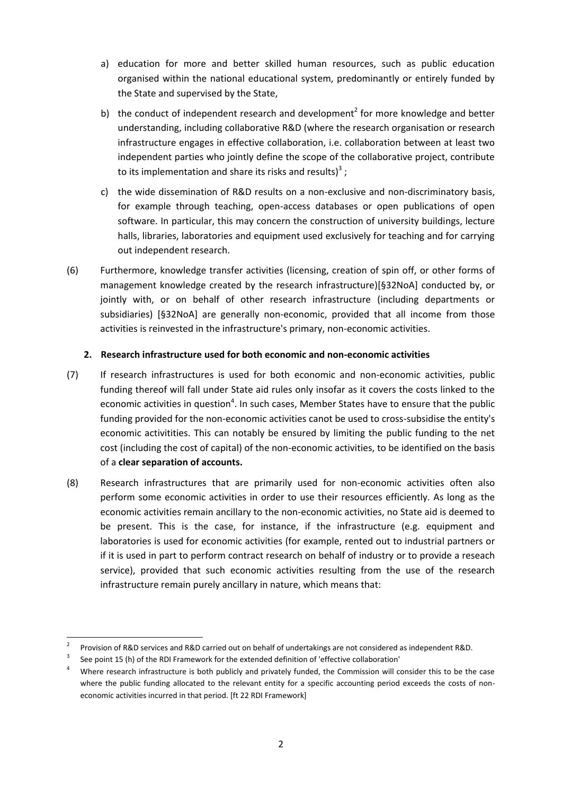- a) education for more and better skilled human resources, such as public education organised within the national educational system, predominantly or entirely funded by the State and supervised by the State,
- b) the conduct of independent research and development<sup>2</sup> for more knowledge and better understanding, including collaborative R&D (where the research organisation or research infrastructure engages in effective collaboration, i.e. collaboration between at least two independent parties who jointly define the scope of the collaborative project, contribute to its implementation and share its risks and results)<sup>3</sup>;
- c) the wide dissemination of R&D results on a non-exclusive and non-discriminatory basis, for example through teaching, open-access databases or open publications of open software. In particular, this may concern the construction of university buildings, lecture halls, libraries, laboratories and equipment used exclusively for teaching and for carrying out independent research.
- (6) Furthermore, knowledge transfer activities (licensing, creation of spin off, or other forms of management knowledge created by the research infrastructure)[§32NoA] conducted by, or jointly with, or on behalf of other research infrastructure (including departments or subsidiaries) [§32NoA] are generally non-economic, provided that all income from those activities is reinvested in the infrastructure's primary, non-economic activities.

## **2. Research infrastructure used for both economic and non-economic activities**

- (7) If research infrastructures is used for both economic and non-economic activities, public funding thereof will fall under State aid rules only insofar as it covers the costs linked to the economic activities in question<sup>4</sup>. In such cases, Member States have to ensure that the public funding provided for the non-economic activities canot be used to cross-subsidise the entity's economic activitities. This can notably be ensured by limiting the public funding to the net cost (including the cost of capital) of the non-economic activities, to be identified on the basis of a **clear separation of accounts.**
- (8) Research infrastructures that are primarily used for non-economic activities often also perform some economic activities in order to use their resources efficiently. As long as the economic activities remain ancillary to the non-economic activities, no State aid is deemed to be present. This is the case, for instance, if the infrastructure (e.g. equipment and laboratories is used for economic activities (for example, rented out to industrial partners or if it is used in part to perform contract research on behalf of industry or to provide a reseach service), provided that such economic activities resulting from the use of the research infrastructure remain purely ancillary in nature, which means that:

1

<sup>2</sup> Provision of R&D services and R&D carried out on behalf of undertakings are not considered as independent R&D.

<sup>3</sup> See point 15 (h) of the RDI Framework for the extended definition of 'effective collaboration'

<sup>&</sup>lt;sup>4</sup> Where research infrastructure is both publicly and privately funded, the Commission will consider this to be the case where the public funding allocated to the relevant entity for a specific accounting period exceeds the costs of noneconomic activities incurred in that period. [ft 22 RDI Framework]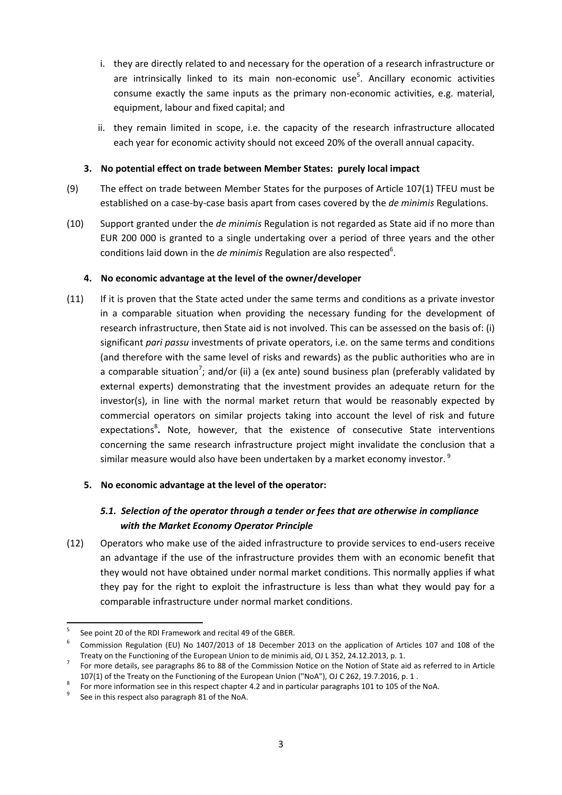- i. they are directly related to and necessary for the operation of a research infrastructure or are intrinsically linked to its main non-economic use<sup>5</sup>. Ancillary economic activities consume exactly the same inputs as the primary non-economic activities, e.g. material, equipment, labour and fixed capital; and
- ii. they remain limited in scope, i.e. the capacity of the research infrastructure allocated each year for economic activity should not exceed 20% of the overall annual capacity.

## **3. No potential effect on trade between Member States: purely local impact**

- (9) The effect on trade between Member States for the purposes of Article 107(1) TFEU must be established on a case-by-case basis apart from cases covered by the *de minimis* Regulations.
- (10) Support granted under the *de minimis* Regulation is not regarded as State aid if no more than EUR 200 000 is granted to a single undertaking over a period of three years and the other conditions laid down in the *de minimis* Regulation are also respected<sup>6</sup>.

## **4. No economic advantage at the level of the owner/developer**

(11) If it is proven that the State acted under the same terms and conditions as a private investor in a comparable situation when providing the necessary funding for the development of research infrastructure, then State aid is not involved. This can be assessed on the basis of: (i) significant *pari passu* investments of private operators, i.e. on the same terms and conditions (and therefore with the same level of risks and rewards) as the public authorities who are in a comparable situation<sup>7</sup>; and/or (ii) a (ex ante) sound business plan (preferably validated by external experts) demonstrating that the investment provides an adequate return for the investor(s), in line with the normal market return that would be reasonably expected by commercial operators on similar projects taking into account the level of risk and future expectations<sup>8</sup>. Note, however, that the existence of consecutive State interventions concerning the same research infrastructure project might invalidate the conclusion that a similar measure would also have been undertaken by a market economy investor.<sup>9</sup>

# **5. No economic advantage at the level of the operator:**

# *5.1. Selection of the operator through a tender or fees that are otherwise in compliance with the Market Economy Operator Principle*

(12) Operators who make use of the aided infrastructure to provide services to end-users receive an advantage if the use of the infrastructure provides them with an economic benefit that they would not have obtained under normal market conditions. This normally applies if what they pay for the right to exploit the infrastructure is less than what they would pay for a comparable infrastructure under normal market conditions.

<sup>1</sup> 5 See point 20 of the RDI Framework and recital 49 of the GBER.

<sup>6</sup> Commission Regulation (EU) No 1407/2013 of 18 December 2013 on the application of Articles 107 and 108 of the Treaty on the Functioning of the European Union to de minimis aid, OJ L 352, 24.12.2013, p. 1.

<sup>7</sup> For more details, see paragraphs 86 to 88 of the Commission Notice on the Notion of State aid as referred to in Article 107(1) of the Treaty on the Functioning of the European Union ("NoA"), OJ C 262, 19.7.2016, p. 1 .

<sup>8</sup> For more information see in this respect chapter 4.2 and in particular paragraphs 101 to 105 of the NoA.

<sup>9</sup> See in this respect also paragraph 81 of the NoA.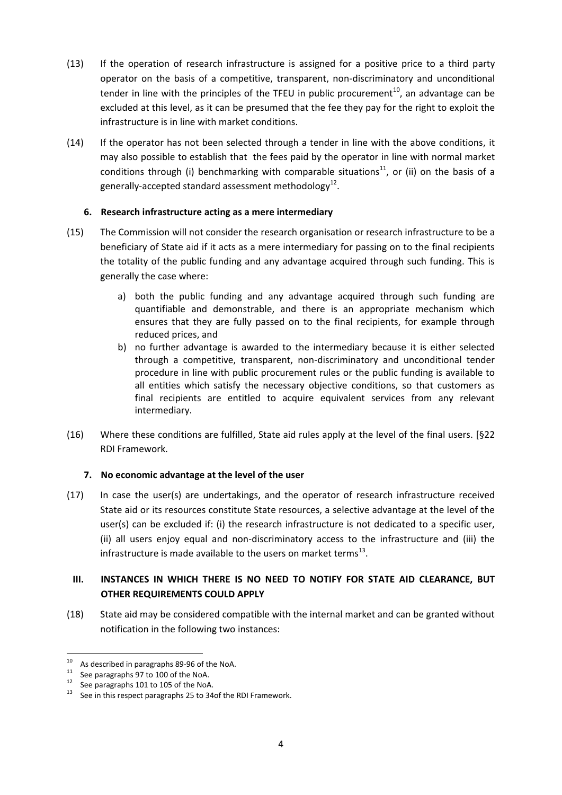- (13) If the operation of research infrastructure is assigned for a positive price to a third party operator on the basis of a competitive, transparent, non-discriminatory and unconditional tender in line with the principles of the TFEU in public procurement<sup>10</sup>, an advantage can be excluded at this level, as it can be presumed that the fee they pay for the right to exploit the infrastructure is in line with market conditions.
- (14) If the operator has not been selected through a tender in line with the above conditions, it may also possible to establish that the fees paid by the operator in line with normal market conditions through (i) benchmarking with comparable situations<sup>11</sup>, or (ii) on the basis of a generally-accepted standard assessment methodology $^{12}$ .

## **6. Research infrastructure acting as a mere intermediary**

- (15) The Commission will not consider the research organisation or research infrastructure to be a beneficiary of State aid if it acts as a mere intermediary for passing on to the final recipients the totality of the public funding and any advantage acquired through such funding. This is generally the case where:
	- a) both the public funding and any advantage acquired through such funding are quantifiable and demonstrable, and there is an appropriate mechanism which ensures that they are fully passed on to the final recipients, for example through reduced prices, and
	- b) no further advantage is awarded to the intermediary because it is either selected through a competitive, transparent, non-discriminatory and unconditional tender procedure in line with public procurement rules or the public funding is available to all entities which satisfy the necessary objective conditions, so that customers as final recipients are entitled to acquire equivalent services from any relevant intermediary.
- (16) Where these conditions are fulfilled, State aid rules apply at the level of the final users. [§22 RDI Framework.

## **7. No economic advantage at the level of the user**

(17) In case the user(s) are undertakings, and the operator of research infrastructure received State aid or its resources constitute State resources, a selective advantage at the level of the user(s) can be excluded if: (i) the research infrastructure is not dedicated to a specific user, (ii) all users enjoy equal and non-discriminatory access to the infrastructure and (iii) the infrastructure is made available to the users on market terms<sup>13</sup>.

# **III. INSTANCES IN WHICH THERE IS NO NEED TO NOTIFY FOR STATE AID CLEARANCE, BUT OTHER REQUIREMENTS COULD APPLY**

(18) State aid may be considered compatible with the internal market and can be granted without notification in the following two instances:

<sup>1</sup>  $10$  As described in paragraphs 89-96 of the NoA.

<sup>&</sup>lt;sup>11</sup> See paragraphs 97 to 100 of the NoA.<br><sup>12</sup> See paragraphs 101 to 105 of the NoA.

<sup>&</sup>lt;sup>12</sup> See paragraphs 101 to 105 of the NoA.<br><sup>13</sup> See in this associate parameter 25 to 24

See in this respect paragraphs 25 to 34of the RDI Framework.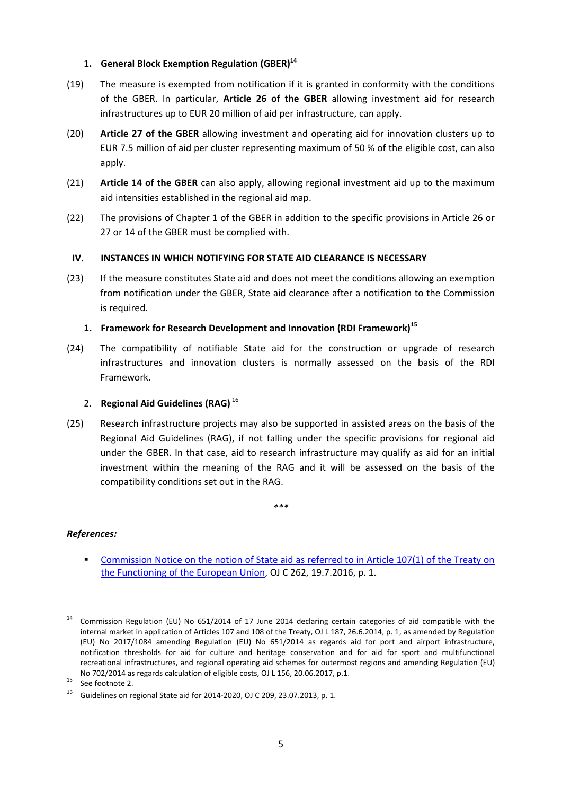## **1. General Block Exemption Regulation (GBER)<sup>14</sup>**

- (19) The measure is exempted from notification if it is granted in conformity with the conditions of the GBER. In particular, **Article 26 of the GBER** allowing investment aid for research infrastructures up to EUR 20 million of aid per infrastructure, can apply.
- (20) **Article 27 of the GBER** allowing investment and operating aid for innovation clusters up to EUR 7.5 million of aid per cluster representing maximum of 50 % of the eligible cost, can also apply.
- (21) **Article 14 of the GBER** can also apply, allowing regional investment aid up to the maximum aid intensities established in the regional aid map.
- (22) The provisions of Chapter 1 of the GBER in addition to the specific provisions in Article 26 or 27 or 14 of the GBER must be complied with.

## **IV. INSTANCES IN WHICH NOTIFYING FOR STATE AID CLEARANCE IS NECESSARY**

(23) If the measure constitutes State aid and does not meet the conditions allowing an exemption from notification under the GBER, State aid clearance after a notification to the Commission is required.

## **1. Framework for Research Development and Innovation (RDI Framework)<sup>15</sup>**

(24) The compatibility of notifiable State aid for the construction or upgrade of research infrastructures and innovation clusters is normally assessed on the basis of the RDI Framework.

## 2. **Regional Aid Guidelines (RAG)** <sup>16</sup>

(25) Research infrastructure projects may also be supported in assisted areas on the basis of the Regional Aid Guidelines (RAG), if not falling under the specific provisions for regional aid under the GBER. In that case, aid to research infrastructure may qualify as aid for an initial investment within the meaning of the RAG and it will be assessed on the basis of the compatibility conditions set out in the RAG.

#### *\*\*\**

## *References:*

 [Commission Notice on the notion of State aid as referred to in Article 107\(1\) of the Treaty on](http://eur-lex.europa.eu/legal-content/EN/TXT/PDF/?uri=CELEX:52016XC0719(05)&from=EN)  [the Functioning of the European Union,](http://eur-lex.europa.eu/legal-content/EN/TXT/PDF/?uri=CELEX:52016XC0719(05)&from=EN) OJ C 262, 19.7.2016, p. 1.

**<sup>.</sup>** <sup>14</sup> Commission Regulation (EU) No 651/2014 of 17 June 2014 declaring certain categories of aid compatible with the internal market in application of Articles 107 and 108 of the Treaty, OJ L 187, 26.6.2014, p. 1, as amended by Regulation (EU) No 2017/1084 amending Regulation (EU) No 651/2014 as regards aid for port and airport infrastructure, notification thresholds for aid for culture and heritage conservation and for aid for sport and multifunctional recreational infrastructures, and regional operating aid schemes for outermost regions and amending Regulation (EU) No 702/2014 as regards calculation of eligible costs, OJ L 156, 20.06.2017, p.1.

 $15$  See footnote 2.

<sup>16</sup> Guidelines on regional State aid for 2014-2020, OJ C 209, 23.07.2013, p. 1.